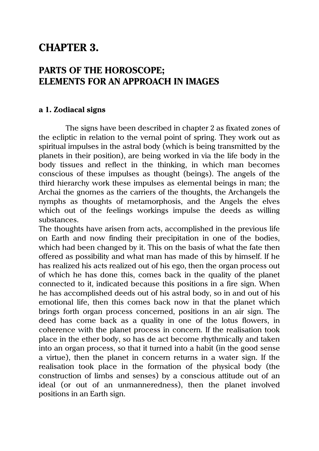# **CHAPTER 3.**

# **PARTS OF THE HOROSCOPE; ELEMENTS FOR AN APPROACH IN IMAGES**

### **a 1. Zodiacal signs**

The signs have been described in chapter 2 as fixated zones of the ecliptic in relation to the vernal point of spring. They work out as spiritual impulses in the astral body (which is being transmitted by the planets in their position), are being worked in via the life body in the body tissues and reflect in the thinking, in which man becomes conscious of these impulses as thought (beings). The angels of the third hierarchy work these impulses as elemental beings in man; the Archai the gnomes as the carriers of the thoughts, the Archangels the nymphs as thoughts of metamorphosis, and the Angels the elves which out of the feelings workings impulse the deeds as willing substances.

The thoughts have arisen from acts, accomplished in the previous life on Earth and now finding their precipitation in one of the bodies, which had been changed by it. This on the basis of what the fate then offered as possibility and what man has made of this by himself. If he has realized his acts realized out of his ego, then the organ process out of which he has done this, comes back in the quality of the planet connected to it, indicated because this positions in a fire sign. When he has accomplished deeds out of his astral body, so in and out of his emotional life, then this comes back now in that the planet which brings forth organ process concerned, positions in an air sign. The deed has come back as a quality in one of the lotus flowers, in coherence with the planet process in concern. If the realisation took place in the ether body, so has de act become rhythmically and taken into an organ process, so that it turned into a habit (in the good sense a virtue), then the planet in concern returns in a water sign. If the realisation took place in the formation of the physical body (the construction of limbs and senses) by a conscious attitude out of an ideal (or out of an unmanneredness), then the planet involved positions in an Earth sign.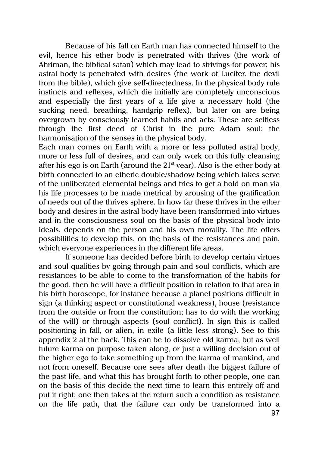Because of his fall on Earth man has connected himself to the evil, hence his ether body is penetrated with thrives (the work of Ahriman, the biblical satan) which may lead to strivings for power; his astral body is penetrated with desires (the work of Lucifer, the devil from the bible), which give self-directedness. In the physical body rule instincts and reflexes, which die initially are completely unconscious and especially the first years of a life give a necessary hold (the sucking need, breathing, handgrip reflex), but later on are being overgrown by consciously learned habits and acts. These are selfless through the first deed of Christ in the pure Adam soul; the harmonisation of the senses in the physical body.

Each man comes on Earth with a more or less polluted astral body, more or less full of desires, and can only work on this fully cleansing after his ego is on Earth (around the  $21<sup>st</sup>$  year). Also is the ether body at birth connected to an etheric double/shadow being which takes serve of the unliberated elemental beings and tries to get a hold on man via his life processes to be made metrical by arousing of the gratification of needs out of the thrives sphere. In how far these thrives in the ether body and desires in the astral body have been transformed into virtues and in the consciousness soul on the basis of the physical body into ideals, depends on the person and his own morality. The life offers possibilities to develop this, on the basis of the resistances and pain, which everyone experiences in the different life areas.

If someone has decided before birth to develop certain virtues and soul qualities by going through pain and soul conflicts, which are resistances to be able to come to the transformation of the habits for the good, then he will have a difficult position in relation to that area in his birth horoscope, for instance because a planet positions difficult in sign (a thinking aspect or constitutional weakness), house (resistance from the outside or from the constitution; has to do with the working of the will) or through aspects (soul conflict). In sign this is called positioning in fall, or alien, in exile (a little less strong). See to this appendix 2 at the back. This can be to dissolve old karma, but as well future karma on purpose taken along, or just a willing decision out of the higher ego to take something up from the karma of mankind, and not from oneself. Because one sees after death the biggest failure of the past life, and what this has brought forth to other people, one can on the basis of this decide the next time to learn this entirely off and put it right; one then takes at the return such a condition as resistance on the life path, that the failure can only be transformed into a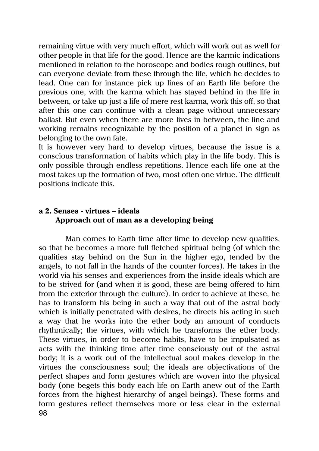remaining virtue with very much effort, which will work out as well for other people in that life for the good. Hence are the karmic indications mentioned in relation to the horoscope and bodies rough outlines, but can everyone deviate from these through the life, which he decides to lead. One can for instance pick up lines of an Earth life before the previous one, with the karma which has stayed behind in the life in between, or take up just a life of mere rest karma, work this off, so that after this one can continue with a clean page without unnecessary ballast. But even when there are more lives in between, the line and working remains recognizable by the position of a planet in sign as belonging to the own fate.

It is however very hard to develop virtues, because the issue is a conscious transformation of habits which play in the life body. This is only possible through endless repetitions. Hence each life one at the most takes up the formation of two, most often one virtue. The difficult positions indicate this.

# **a 2. Senses - virtues – ideals Approach out of man as a developing being**

98 Man comes to Earth time after time to develop new qualities, so that he becomes a more full fletched spiritual being (of which the qualities stay behind on the Sun in the higher ego, tended by the angels, to not fall in the hands of the counter forces). He takes in the world via his senses and experiences from the inside ideals which are to be strived for (and when it is good, these are being offered to him from the exterior through the culture). In order to achieve at these, he has to transform his being in such a way that out of the astral body which is initially penetrated with desires, he directs his acting in such a way that he works into the ether body an amount of conducts rhythmically; the virtues, with which he transforms the ether body. These virtues, in order to become habits, have to be impulsated as acts with the thinking time after time consciously out of the astral body; it is a work out of the intellectual soul makes develop in the virtues the consciousness soul; the ideals are objectivations of the perfect shapes and form gestures which are woven into the physical body (one begets this body each life on Earth anew out of the Earth forces from the highest hierarchy of angel beings). These forms and form gestures reflect themselves more or less clear in the external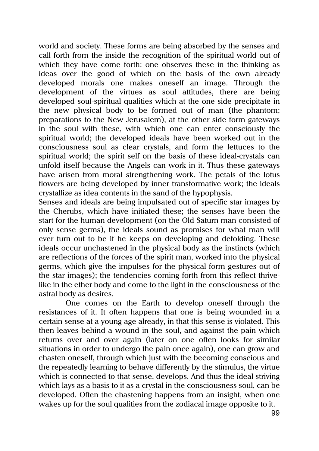world and society. These forms are being absorbed by the senses and call forth from the inside the recognition of the spiritual world out of which they have come forth: one observes these in the thinking as ideas over the good of which on the basis of the own already developed morals one makes oneself an image. Through the development of the virtues as soul attitudes, there are being developed soul-spiritual qualities which at the one side precipitate in the new physical body to be formed out of man (the phantom; preparations to the New Jerusalem), at the other side form gateways in the soul with these, with which one can enter consciously the spiritual world; the developed ideals have been worked out in the consciousness soul as clear crystals, and form the lettuces to the spiritual world; the spirit self on the basis of these ideal-crystals can unfold itself because the Angels can work in it. Thus these gateways have arisen from moral strengthening work. The petals of the lotus flowers are being developed by inner transformative work; the ideals crystallize as idea contents in the sand of the hypophysis.

Senses and ideals are being impulsated out of specific star images by the Cherubs, which have initiated these; the senses have been the start for the human development (on the Old Saturn man consisted of only sense germs), the ideals sound as promises for what man will ever turn out to be if he keeps on developing and defolding. These ideals occur unchastened in the physical body as the instincts (which are reflections of the forces of the spirit man, worked into the physical germs, which give the impulses for the physical form gestures out of the star images); the tendencies coming forth from this reflect thrivelike in the ether body and come to the light in the consciousness of the astral body as desires.

One comes on the Earth to develop oneself through the resistances of it. It often happens that one is being wounded in a certain sense at a young age already, in that this sense is violated. This then leaves behind a wound in the soul, and against the pain which returns over and over again (later on one often looks for similar situations in order to undergo the pain once again), one can grow and chasten oneself, through which just with the becoming conscious and the repeatedly learning to behave differently by the stimulus, the virtue which is connected to that sense, develops. And thus the ideal striving which lays as a basis to it as a crystal in the consciousness soul, can be developed. Often the chastening happens from an insight, when one wakes up for the soul qualities from the zodiacal image opposite to it.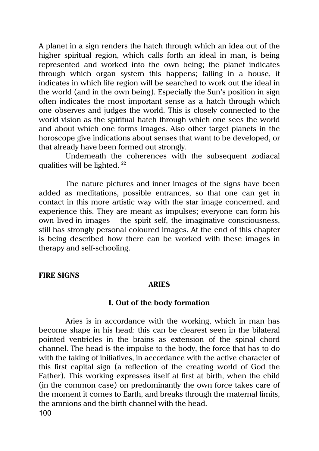A planet in a sign renders the hatch through which an idea out of the higher spiritual region, which calls forth an ideal in man, is being represented and worked into the own being; the planet indicates through which organ system this happens; falling in a house, it indicates in which life region will be searched to work out the ideal in the world (and in the own being). Especially the Sun's position in sign often indicates the most important sense as a hatch through which one observes and judges the world. This is closely connected to the world vision as the spiritual hatch through which one sees the world and about which one forms images. Also other target planets in the horoscope give indications about senses that want to be developed, or that already have been formed out strongly.

Underneath the coherences with the subsequent zodiacal qualities will be lighted. <sup>22</sup>

The nature pictures and inner images of the signs have been added as meditations, possible entrances, so that one can get in contact in this more artistic way with the star image concerned, and experience this. They are meant as impulses; everyone can form his own lived-in images – the spirit self, the imaginative consciousness, still has strongly personal coloured images. At the end of this chapter is being described how there can be worked with these images in therapy and self-schooling.

#### **FIRE SIGNS**

#### **ARIES**

#### **I. Out of the body formation**

100 Aries is in accordance with the working, which in man has become shape in his head: this can be clearest seen in the bilateral pointed ventricles in the brains as extension of the spinal chord channel. The head is the impulse to the body, the force that has to do with the taking of initiatives, in accordance with the active character of this first capital sign (a reflection of the creating world of God the Father). This working expresses itself at first at birth, when the child (in the common case) on predominantly the own force takes care of the moment it comes to Earth, and breaks through the maternal limits, the amnions and the birth channel with the head.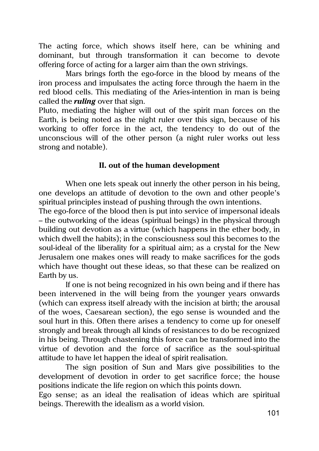The acting force, which shows itself here, can be whining and dominant, but through transformation it can become to devote offering force of acting for a larger aim than the own strivings.

Mars brings forth the ego-force in the blood by means of the iron process and impulsates the acting force through the haem in the red blood cells. This mediating of the Aries-intention in man is being called the *ruling* over that sign.

Pluto, mediating the higher will out of the spirit man forces on the Earth, is being noted as the night ruler over this sign, because of his working to offer force in the act, the tendency to do out of the unconscious will of the other person (a night ruler works out less strong and notable).

### **II. out of the human development**

When one lets speak out innerly the other person in his being, one develops an attitude of devotion to the own and other people's spiritual principles instead of pushing through the own intentions.

The ego-force of the blood then is put into service of impersonal ideals – the outworking of the ideas (spiritual beings) in the physical through building out devotion as a virtue (which happens in the ether body, in which dwell the habits); in the consciousness soul this becomes to the soul-ideal of the liberality for a spiritual aim; as a crystal for the New Jerusalem one makes ones will ready to make sacrifices for the gods which have thought out these ideas, so that these can be realized on Earth by us.

If one is not being recognized in his own being and if there has been intervened in the will being from the younger years onwards (which can express itself already with the incision at birth; the arousal of the woes, Caesarean section), the ego sense is wounded and the soul hurt in this. Often there arises a tendency to come up for oneself strongly and break through all kinds of resistances to do be recognized in his being. Through chastening this force can be transformed into the virtue of devotion and the force of sacrifice as the soul-spiritual attitude to have let happen the ideal of spirit realisation.

The sign position of Sun and Mars give possibilities to the development of devotion in order to get sacrifice force; the house positions indicate the life region on which this points down.

Ego sense; as an ideal the realisation of ideas which are spiritual beings. Therewith the idealism as a world vision.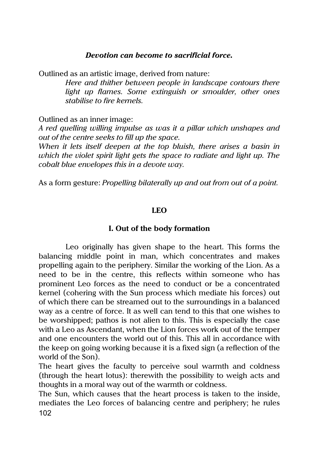### *Devotion can become to sacrificial force.*

Outlined as an artistic image, derived from nature:

*Here and thither between people in landscape contours there light up flames. Some extinguish or smoulder, other ones stabilise to fire kernels.*

Outlined as an inner image:

*A red quelling willing impulse as was it a pillar which unshapes and out of the centre seeks to fill up the space.*

*When it lets itself deepen at the top bluish, there arises a basin in which the violet spirit light gets the space to radiate and light up. The cobalt blue envelopes this in a devote way.*

As a form gesture: *Propelling bilaterally up and out from out of a point.*

### **LEO**

### **I. Out of the body formation**

Leo originally has given shape to the heart. This forms the balancing middle point in man, which concentrates and makes propelling again to the periphery. Similar the working of the Lion. As a need to be in the centre, this reflects within someone who has prominent Leo forces as the need to conduct or be a concentrated kernel (cohering with the Sun process which mediate his forces) out of which there can be streamed out to the surroundings in a balanced way as a centre of force. It as well can tend to this that one wishes to be worshipped; pathos is not alien to this. This is especially the case with a Leo as Ascendant, when the Lion forces work out of the temper and one encounters the world out of this. This all in accordance with the keep on going working because it is a fixed sign (a reflection of the world of the Son).

The heart gives the faculty to perceive soul warmth and coldness (through the heart lotus): therewith the possibility to weigh acts and thoughts in a moral way out of the warmth or coldness.

102 The Sun, which causes that the heart process is taken to the inside, mediates the Leo forces of balancing centre and periphery; he rules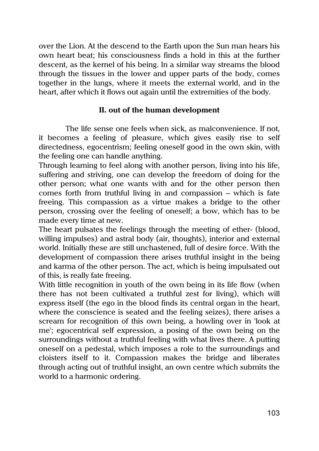over the Lion. At the descend to the Earth upon the Sun man hears his own heart beat; his consciousness finds a hold in this at the further descent, as the kernel of his being. In a similar way streams the blood through the tissues in the lower and upper parts of the body, comes together in the lungs, where it meets the external world, and in the heart, after which it flows out again until the extremities of the body.

### **II. out of the human development**

The life sense one feels when sick, as malconvenience. If not, it becomes a feeling of pleasure, which gives easily rise to self directedness, egocentrism; feeling oneself good in the own skin, with the feeling one can handle anything.

Through learning to feel along with another person, living into his life, suffering and striving, one can develop the freedom of doing for the other person; what one wants with and for the other person then comes forth from truthful living in and compassion – which is fate freeing. This compassion as a virtue makes a bridge to the other person, crossing over the feeling of oneself; a bow, which has to be made every time at new.

The heart pulsates the feelings through the meeting of ether- (blood, willing impulses) and astral body (air, thoughts), interior and external world. Initially these are still unchastened, full of desire force. With the development of compassion there arises truthful insight in the being and karma of the other person. The act, which is being impulsated out of this, is really fate freeing.

With little recognition in youth of the own being in its life flow (when there has not been cultivated a truthful zest for living), which will express itself (the ego in the blood finds its central organ in the heart, where the conscience is seated and the feeling seizes), there arises a scream for recognition of this own being, a howling over in 'look at me'; egocentrical self expression, a posing of the own being on the surroundings without a truthful feeling with what lives there. A putting oneself on a pedestal, which imposes a role to the surroundings and cloisters itself to it. Compassion makes the bridge and liberates through acting out of truthful insight, an own centre which submits the world to a harmonic ordering.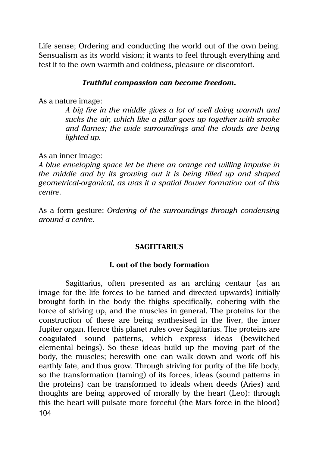Life sense; Ordering and conducting the world out of the own being. Sensualism as its world vision; it wants to feel through everything and test it to the own warmth and coldness, pleasure or discomfort.

### *Truthful compassion can become freedom.*

As a nature image:

*A big fire in the middle gives a lot of well doing warmth and sucks the air, which like a pillar goes up together with smoke and flames; the wide surroundings and the clouds are being lighted up.*

As an inner image:

*A blue enveloping space let be there an orange red willing impulse in the middle and by its growing out it is being filled up and shaped geometrical-organical, as was it a spatial flower formation out of this centre.*

As a form gesture: *Ordering of the surroundings through condensing around a centre.*

#### **SAGITTARIUS**

### **I. out of the body formation**

104 Sagittarius, often presented as an arching centaur (as an image for the life forces to be tamed and directed upwards) initially brought forth in the body the thighs specifically, cohering with the force of striving up, and the muscles in general. The proteins for the construction of these are being synthesised in the liver, the inner Jupiter organ. Hence this planet rules over Sagittarius. The proteins are coagulated sound patterns, which express ideas (bewitched elemental beings). So these ideas build up the moving part of the body, the muscles; herewith one can walk down and work off his earthly fate, and thus grow. Through striving for purity of the life body, so the transformation (taming) of its forces, ideas (sound patterns in the proteins) can be transformed to ideals when deeds (Aries) and thoughts are being approved of morally by the heart (Leo): through this the heart will pulsate more forceful (the Mars force in the blood)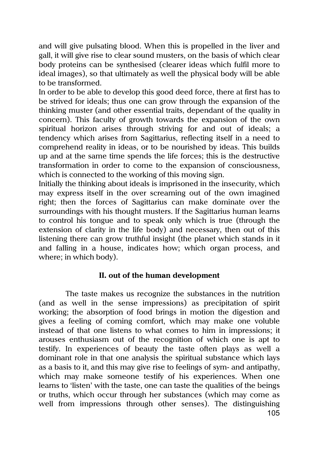and will give pulsating blood. When this is propelled in the liver and gall, it will give rise to clear sound musters, on the basis of which clear body proteins can be synthesised (clearer ideas which fulfil more to ideal images), so that ultimately as well the physical body will be able to be transformed.

In order to be able to develop this good deed force, there at first has to be strived for ideals; thus one can grow through the expansion of the thinking muster (and other essential traits, dependant of the quality in concern). This faculty of growth towards the expansion of the own spiritual horizon arises through striving for and out of ideals; a tendency which arises from Sagittarius, reflecting itself in a need to comprehend reality in ideas, or to be nourished by ideas. This builds up and at the same time spends the life forces; this is the destructive transformation in order to come to the expansion of consciousness, which is connected to the working of this moving sign.

Initially the thinking about ideals is imprisoned in the insecurity, which may express itself in the over screaming out of the own imagined right; then the forces of Sagittarius can make dominate over the surroundings with his thought musters. If the Sagittarius human learns to control his tongue and to speak only which is true (through the extension of clarity in the life body) and necessary, then out of this listening there can grow truthful insight (the planet which stands in it and falling in a house, indicates how; which organ process, and where; in which body).

# **II. out of the human development**

105 The taste makes us recognize the substances in the nutrition (and as well in the sense impressions) as precipitation of spirit working; the absorption of food brings in motion the digestion and gives a feeling of coming comfort, which may make one voluble instead of that one listens to what comes to him in impressions; it arouses enthusiasm out of the recognition of which one is apt to testify. In experiences of beauty the taste often plays as well a dominant role in that one analysis the spiritual substance which lays as a basis to it, and this may give rise to feelings of sym- and antipathy, which may make someone testify of his experiences. When one learns to 'listen' with the taste, one can taste the qualities of the beings or truths, which occur through her substances (which may come as well from impressions through other senses). The distinguishing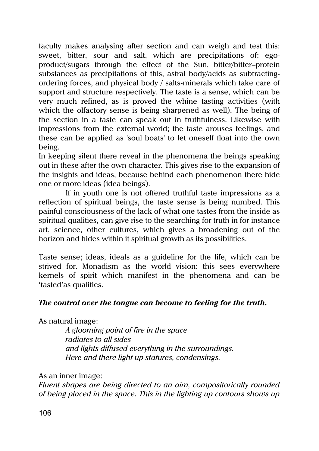faculty makes analysing after section and can weigh and test this: sweet, bitter, sour and salt, which are precipitations of: egoproduct/sugars through the effect of the Sun, bitter/bitter–protein substances as precipitations of this, astral body/acids as subtractingordering forces, and physical body / salts-minerals which take care of support and structure respectively. The taste is a sense, which can be very much refined, as is proved the whine tasting activities (with which the olfactory sense is being sharpened as well). The being of the section in a taste can speak out in truthfulness. Likewise with impressions from the external world; the taste arouses feelings, and these can be applied as 'soul boats' to let oneself float into the own being.

In keeping silent there reveal in the phenomena the beings speaking out in these after the own character. This gives rise to the expansion of the insights and ideas, because behind each phenomenon there hide one or more ideas (idea beings).

If in youth one is not offered truthful taste impressions as a reflection of spiritual beings, the taste sense is being numbed. This painful consciousness of the lack of what one tastes from the inside as spiritual qualities, can give rise to the searching for truth in for instance art, science, other cultures, which gives a broadening out of the horizon and hides within it spiritual growth as its possibilities.

Taste sense; ideas, ideals as a guideline for the life, which can be strived for. Monadism as the world vision: this sees everywhere kernels of spirit which manifest in the phenomena and can be 'tasted'as qualities.

# *The control over the tongue can become to feeling for the truth.*

As natural image:

*A glooming point of fire in the space radiates to all sides and lights diffused everything in the surroundings. Here and there light up statures, condensings.*

As an inner image:

*Fluent shapes are being directed to an aim, compositorically rounded of being placed in the space. This in the lighting up contours shows up*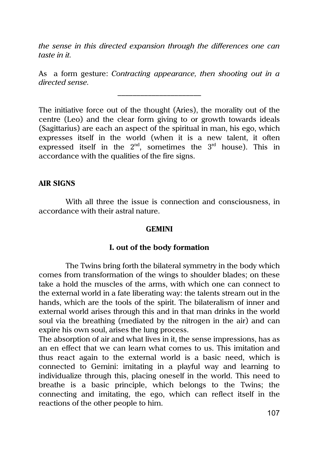*the sense in this directed expansion through the differences one can taste in it.*

As a form gesture: *Contracting appearance, then shooting out in a directed sense.*  $\overline{\phantom{a}}$  , where  $\overline{\phantom{a}}$ 

The initiative force out of the thought (Aries), the morality out of the centre (Leo) and the clear form giving to or growth towards ideals (Sagittarius) are each an aspect of the spiritual in man, his ego, which expresses itself in the world (when it is a new talent, it often expressed itself in the  $2^{nd}$ , sometimes the  $3^{rd}$  house). This in accordance with the qualities of the fire signs.

# **AIR SIGNS**

With all three the issue is connection and consciousness, in accordance with their astral nature.

#### **GEMINI**

#### **I. out of the body formation**

The Twins bring forth the bilateral symmetry in the body which comes from transformation of the wings to shoulder blades; on these take a hold the muscles of the arms, with which one can connect to the external world in a fate liberating way: the talents stream out in the hands, which are the tools of the spirit. The bilateralism of inner and external world arises through this and in that man drinks in the world soul via the breathing (mediated by the nitrogen in the air) and can expire his own soul, arises the lung process.

The absorption of air and what lives in it, the sense impressions, has as an en effect that we can learn what comes to us. This imitation and thus react again to the external world is a basic need, which is connected to Gemini: imitating in a playful way and learning to individualize through this, placing oneself in the world. This need to breathe is a basic principle, which belongs to the Twins; the connecting and imitating, the ego, which can reflect itself in the reactions of the other people to him.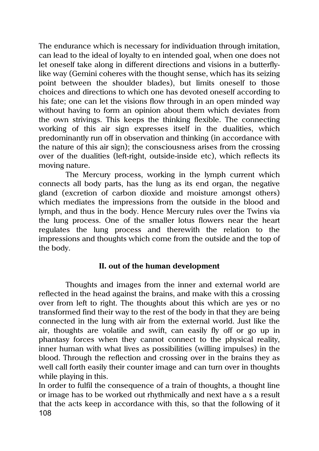The endurance which is necessary for individuation through imitation, can lead to the ideal of loyalty to en intended goal, when one does not let oneself take along in different directions and visions in a butterflylike way (Gemini coheres with the thought sense, which has its seizing point between the shoulder blades), but limits oneself to those choices and directions to which one has devoted oneself according to his fate; one can let the visions flow through in an open minded way without having to form an opinion about them which deviates from the own strivings. This keeps the thinking flexible. The connecting working of this air sign expresses itself in the dualities, which predominantly run off in observation and thinking (in accordance with the nature of this air sign); the consciousness arises from the crossing over of the dualities (left-right, outside-inside etc), which reflects its moving nature.

The Mercury process, working in the lymph current which connects all body parts, has the lung as its end organ, the negative gland (excretion of carbon dioxide and moisture amongst others) which mediates the impressions from the outside in the blood and lymph, and thus in the body. Hence Mercury rules over the Twins via the lung process. One of the smaller lotus flowers near the heart regulates the lung process and therewith the relation to the impressions and thoughts which come from the outside and the top of the body.

# **II. out of the human development**

Thoughts and images from the inner and external world are reflected in the head against the brains, and make with this a crossing over from left to right. The thoughts about this which are yes or no transformed find their way to the rest of the body in that they are being connected in the lung with air from the external world. Just like the air, thoughts are volatile and swift, can easily fly off or go up in phantasy forces when they cannot connect to the physical reality, inner human with what lives as possibilities (willing impulses) in the blood. Through the reflection and crossing over in the brains they as well call forth easily their counter image and can turn over in thoughts while playing in this.

108 In order to fulfil the consequence of a train of thoughts, a thought line or image has to be worked out rhythmically and next have a s a result that the acts keep in accordance with this, so that the following of it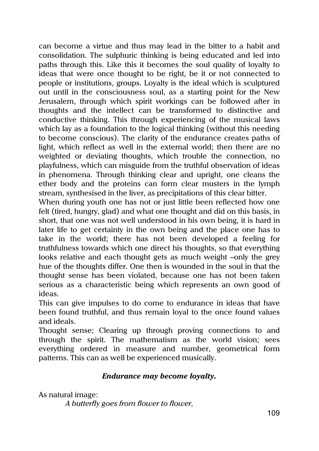can become a virtue and thus may lead in the bitter to a habit and consolidation. The sulphuric thinking is being educated and led into paths through this. Like this it becomes the soul quality of loyalty to ideas that were once thought to be right, be it or not connected to people or institutions, groups. Loyalty is the ideal which is sculptured out until in the consciousness soul, as a starting point for the New Jerusalem, through which spirit workings can be followed after in thoughts and the intellect can be transformed to distinctive and conductive thinking. This through experiencing of the musical laws which lay as a foundation to the logical thinking (without this needing to become conscious). The clarity of the endurance creates paths of light, which reflect as well in the external world; then there are no weighted or deviating thoughts, which trouble the connection, no playfulness, which can misguide from the truthful observation of ideas in phenomena. Through thinking clear and upright, one cleans the ether body and the proteins can form clear musters in the lymph stream, synthesised in the liver, as precipitations of this clear bitter.

When during youth one has not or just little been reflected how one felt (tired, hungry, glad) and what one thought and did on this basis, in short, that one was not well understood in his own being, it is hard in later life to get certainty in the own being and the place one has to take in the world; there has not been developed a feeling for truthfulness towards which one direct his thoughts, so that everything looks relative and each thought gets as much weight –only the grey hue of the thoughts differ. One then is wounded in the soul in that the thought sense has been violated, because one has not been taken serious as a characteristic being which represents an own good of ideas.

This can give impulses to do come to endurance in ideas that have been found truthful, and thus remain loyal to the once found values and ideals.

Thought sense; Clearing up through proving connections to and through the spirit. The mathematism as the world vision; sees everything ordered in measure and number, geometrical form patterns. This can as well be experienced musically.

# *Endurance may become loyalty.*

As natural image:

*A butterfly goes from flower to flower,*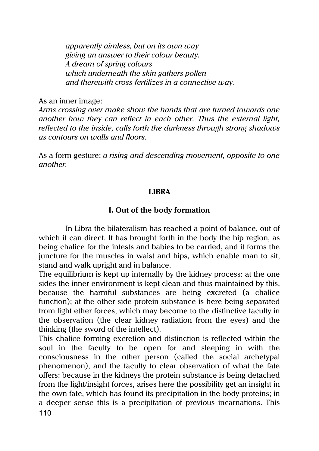*apparently aimless, but on its own way giving an answer to their colour beauty. A dream of spring colours which underneath the skin gathers pollen and therewith cross-fertilizes in a connective way.*

As an inner image:

*Arms crossing over make show the hands that are turned towards one another how they can reflect in each other. Thus the external light, reflected to the inside, calls forth the darkness through strong shadows as contours on walls and floors.*

As a form gesture: *a rising and descending movement, opposite to one another.*

# **LIBRA**

# **I. Out of the body formation**

In Libra the bilateralism has reached a point of balance, out of which it can direct. It has brought forth in the body the hip region, as being chalice for the intests and babies to be carried, and it forms the juncture for the muscles in waist and hips, which enable man to sit, stand and walk upright and in balance.

The equilibrium is kept up internally by the kidney process: at the one sides the inner environment is kept clean and thus maintained by this, because the harmful substances are being excreted (a chalice function); at the other side protein substance is here being separated from light ether forces, which may become to the distinctive faculty in the observation (the clear kidney radiation from the eyes) and the thinking (the sword of the intellect).

110 This chalice forming excretion and distinction is reflected within the soul in the faculty to be open for and sleeping in with the consciousness in the other person (called the social archetypal phenomenon), and the faculty to clear observation of what the fate offers: because in the kidneys the protein substance is being detached from the light/insight forces, arises here the possibility get an insight in the own fate, which has found its precipitation in the body proteins; in a deeper sense this is a precipitation of previous incarnations. This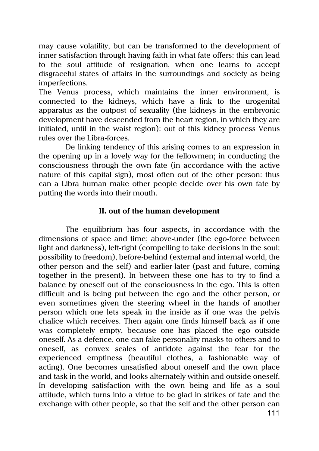may cause volatility, but can be transformed to the development of inner satisfaction through having faith in what fate offers: this can lead to the soul attitude of resignation, when one learns to accept disgraceful states of affairs in the surroundings and society as being imperfections.

The Venus process, which maintains the inner environment, is connected to the kidneys, which have a link to the urogenital apparatus as the outpost of sexuality (the kidneys in the embryonic development have descended from the heart region, in which they are initiated, until in the waist region): out of this kidney process Venus rules over the Libra-forces.

De linking tendency of this arising comes to an expression in the opening up in a lovely way for the fellowmen; in conducting the consciousness through the own fate (in accordance with the active nature of this capital sign), most often out of the other person: thus can a Libra human make other people decide over his own fate by putting the words into their mouth.

### **II. out of the human development**

The equilibrium has four aspects, in accordance with the dimensions of space and time; above-under (the ego-force between light and darkness), left-right (compelling to take decisions in the soul; possibility to freedom), before-behind (external and internal world, the other person and the self) and earlier-later (past and future, coming together in the present). In between these one has to try to find a balance by oneself out of the consciousness in the ego. This is often difficult and is being put between the ego and the other person, or even sometimes given the steering wheel in the hands of another person which one lets speak in the inside as if one was the pelvis chalice which receives. Then again one finds himself back as if one was completely empty, because one has placed the ego outside oneself. As a defence, one can fake personality masks to others and to oneself, as convex scales of antidote against the fear for the experienced emptiness (beautiful clothes, a fashionable way of acting). One becomes unsatisfied about oneself and the own place and task in the world, and looks alternately within and outside oneself. In developing satisfaction with the own being and life as a soul attitude, which turns into a virtue to be glad in strikes of fate and the exchange with other people, so that the self and the other person can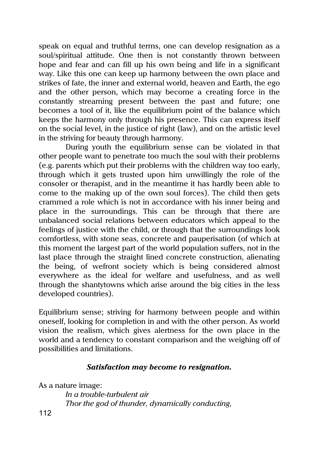speak on equal and truthful terms, one can develop resignation as a soul/spiritual attitude. One then is not constantly thrown between hope and fear and can fill up his own being and life in a significant way. Like this one can keep up harmony between the own place and strikes of fate, the inner and external world, heaven and Earth, the ego and the other person, which may become a creating force in the constantly streaming present between the past and future; one becomes a tool of it, like the equilibrium point of the balance which keeps the harmony only through his presence. This can express itself on the social level, in the justice of right (law), and on the artistic level in the striving for beauty through harmony.

During youth the equilibrium sense can be violated in that other people want to penetrate too much the soul with their problems (e.g. parents which put their problems with the children way too early, through which it gets trusted upon him unwillingly the role of the consoler or therapist, and in the meantime it has hardly been able to come to the making up of the own soul forces). The child then gets crammed a role which is not in accordance with his inner being and place in the surroundings. This can be through that there are unbalanced social relations between educators which appeal to the feelings of justice with the child, or through that the surroundings look comfortless, with stone seas, concrete and pauperisation (of which at this moment the largest part of the world population suffers, not in the last place through the straight lined concrete construction, alienating the being, of wefront society which is being considered almost everywhere as the ideal for welfare and usefulness, and as well through the shantytowns which arise around the big cities in the less developed countries).

Equilibrium sense; striving for harmony between people and within oneself, looking for completion in and with the other person. As world vision the realism, which gives alertness for the own place in the world and a tendency to constant comparison and the weighing off of possibilities and limitations.

# *Satisfaction may become to resignation.*

As a nature image:

*In a trouble-turbulent air Thor the god of thunder, dynamically conducting,*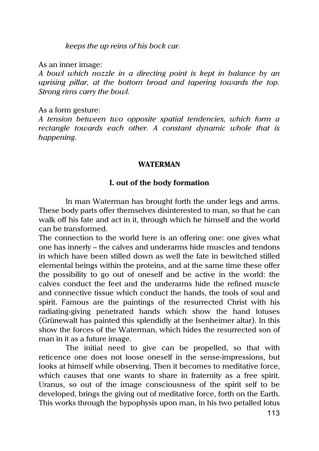*keeps the up reins of his bock car.*

As an inner image:

*A bowl which nozzle in a directing point is kept in balance by an uprising pillar, at the bottom broad and tapering towards the top. Strong rims carry the bowl.*

As a form gesture:

*A tension between two opposite spatial tendencies, which form a rectangle towards each other. A constant dynamic whole that is happening.*

### **WATERMAN**

# **I. out of the body formation**

In man Waterman has brought forth the under legs and arms. These body parts offer themselves disinterested to man, so that he can walk off his fate and act in it, through which he himself and the world can be transformed.

The connection to the world here is an offering one: one gives what one has innerly – the calves and underarms hide muscles and tendons in which have been stilled down as well the fate in bewitched stilled elemental beings within the proteins, and at the same time these offer the possibility to go out of oneself and be active in the world: the calves conduct the feet and the underarms hide the refined muscle and connective tissue which conduct the hands, the tools of soul and spirit. Famous are the paintings of the resurrected Christ with his radiating-giving penetrated hands which show the hand lotuses (Grünewalt has painted this splendidly at the Isenheimer altar). In this show the forces of the Waterman, which hides the resurrected son of man in it as a future image.

The initial need to give can be propelled, so that with reticence one does not loose oneself in the sense-impressions, but looks at himself while observing. Then it becomes to meditative force, which causes that one wants to share in fraternity as a free spirit. Uranus, so out of the image consciousness of the spirit self to be developed, brings the giving out of meditative force, forth on the Earth. This works through the hypophysis upon man, in his two petalled lotus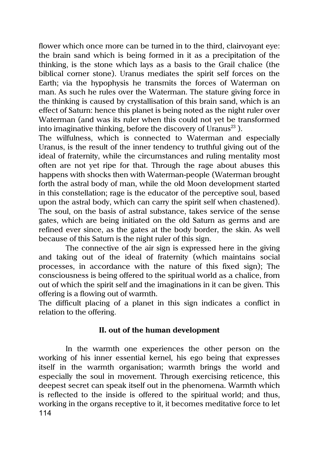flower which once more can be turned in to the third, clairvoyant eye: the brain sand which is being formed in it as a precipitation of the thinking, is the stone which lays as a basis to the Grail chalice (the biblical corner stone). Uranus mediates the spirit self forces on the Earth; via the hypophysis he transmits the forces of Waterman on man. As such he rules over the Waterman. The stature giving force in the thinking is caused by crystallisation of this brain sand, which is an effect of Saturn: hence this planet is being noted as the night ruler over Waterman (and was its ruler when this could not yet be transformed into imaginative thinking, before the discovery of Uranus<sup>23</sup>).

The wilfulness, which is connected to Waterman and especially Uranus, is the result of the inner tendency to truthful giving out of the ideal of fraternity, while the circumstances and ruling mentality most often are not yet ripe for that. Through the rage about abuses this happens with shocks then with Waterman-people (Waterman brought forth the astral body of man, while the old Moon development started in this constellation; rage is the educator of the perceptive soul, based upon the astral body, which can carry the spirit self when chastened). The soul, on the basis of astral substance, takes service of the sense gates, which are being initiated on the old Saturn as germs and are refined ever since, as the gates at the body border, the skin. As well because of this Saturn is the night ruler of this sign.

The connective of the air sign is expressed here in the giving and taking out of the ideal of fraternity (which maintains social processes, in accordance with the nature of this fixed sign); The consciousness is being offered to the spiritual world as a chalice, from out of which the spirit self and the imaginations in it can be given. This offering is a flowing out of warmth.

The difficult placing of a planet in this sign indicates a conflict in relation to the offering.

# **II. out of the human development**

114 In the warmth one experiences the other person on the working of his inner essential kernel, his ego being that expresses itself in the warmth organisation; warmth brings the world and especially the soul in movement. Through exercising reticence, this deepest secret can speak itself out in the phenomena. Warmth which is reflected to the inside is offered to the spiritual world; and thus, working in the organs receptive to it, it becomes meditative force to let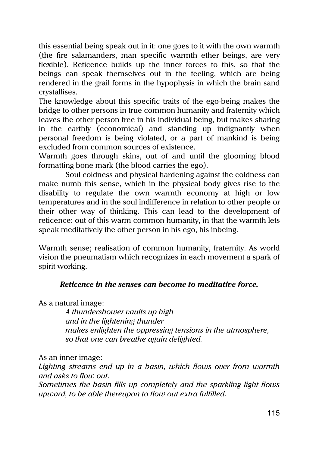this essential being speak out in it: one goes to it with the own warmth (the fire salamanders, man specific warmth ether beings, are very flexible). Reticence builds up the inner forces to this, so that the beings can speak themselves out in the feeling, which are being rendered in the grail forms in the hypophysis in which the brain sand crystallises.

The knowledge about this specific traits of the ego-being makes the bridge to other persons in true common humanity and fraternity which leaves the other person free in his individual being, but makes sharing in the earthly (economical) and standing up indignantly when personal freedom is being violated, or a part of mankind is being excluded from common sources of existence.

Warmth goes through skins, out of and until the glooming blood formatting bone mark (the blood carries the ego).

Soul coldness and physical hardening against the coldness can make numb this sense, which in the physical body gives rise to the disability to regulate the own warmth economy at high or low temperatures and in the soul indifference in relation to other people or their other way of thinking. This can lead to the development of reticence; out of this warm common humanity, in that the warmth lets speak meditatively the other person in his ego, his inbeing.

Warmth sense; realisation of common humanity, fraternity. As world vision the pneumatism which recognizes in each movement a spark of spirit working.

# *Reticence in the senses can become to meditative force.*

As a natural image:

*A thundershower vaults up high and in the lightening thunder makes enlighten the oppressing tensions in the atmosphere, so that one can breathe again delighted.*

As an inner image:

*Lighting streams end up in a basin, which flows over from warmth and asks to flow out.* 

*Sometimes the basin fills up completely and the sparkling light flows upward, to be able thereupon to flow out extra fulfilled.*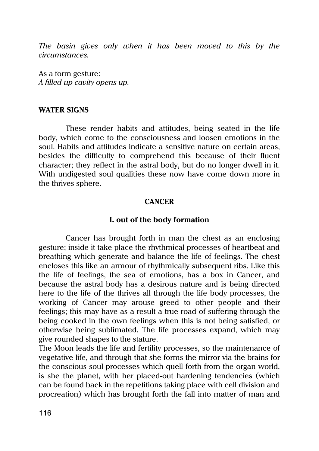*The basin gives only when it has been moved to this by the circumstances.*

As a form gesture: *A filled-up cavity opens up.*

#### **WATER SIGNS**

These render habits and attitudes, being seated in the life body, which come to the consciousness and loosen emotions in the soul. Habits and attitudes indicate a sensitive nature on certain areas, besides the difficulty to comprehend this because of their fluent character; they reflect in the astral body, but do no longer dwell in it. With undigested soul qualities these now have come down more in the thrives sphere.

#### **CANCER**

#### **I. out of the body formation**

Cancer has brought forth in man the chest as an enclosing gesture; inside it take place the rhythmical processes of heartbeat and breathing which generate and balance the life of feelings. The chest encloses this like an armour of rhythmically subsequent ribs. Like this the life of feelings, the sea of emotions, has a box in Cancer, and because the astral body has a desirous nature and is being directed here to the life of the thrives all through the life body processes, the working of Cancer may arouse greed to other people and their feelings; this may have as a result a true road of suffering through the being cooked in the own feelings when this is not being satisfied, or otherwise being sublimated. The life processes expand, which may give rounded shapes to the stature.

The Moon leads the life and fertility processes, so the maintenance of vegetative life, and through that she forms the mirror via the brains for the conscious soul processes which quell forth from the organ world, is she the planet, with her placed-out hardening tendencies (which can be found back in the repetitions taking place with cell division and procreation) which has brought forth the fall into matter of man and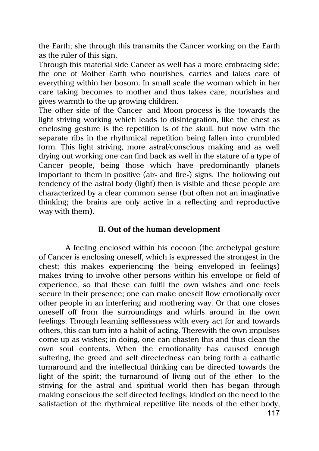the Earth; she through this transmits the Cancer working on the Earth as the ruler of this sign.

Through this material side Cancer as well has a more embracing side; the one of Mother Earth who nourishes, carries and takes care of everything within her bosom. In small scale the woman which in her care taking becomes to mother and thus takes care, nourishes and gives warmth to the up growing children.

The other side of the Cancer- and Moon process is the towards the light striving working which leads to disintegration, like the chest as enclosing gesture is the repetition is of the skull, but now with the separate ribs in the rhythmical repetition being fallen into crumbled form. This light striving, more astral/conscious making and as well drying out working one can find back as well in the stature of a type of Cancer people, being those which have predominantly planets important to them in positive (air- and fire-) signs. The hollowing out tendency of the astral body (light) then is visible and these people are characterized by a clear common sense (but often not an imaginative thinking; the brains are only active in a reflecting and reproductive way with them).

# **II. Out of the human development**

A feeling enclosed within his cocoon (the archetypal gesture of Cancer is enclosing oneself, which is expressed the strongest in the chest; this makes experiencing the being enveloped in feelings) makes trying to involve other persons within his envelope or field of experience, so that these can fulfil the own wishes and one feels secure in their presence; one can make oneself flow emotionally over other people in an interfering and mothering way. Or that one closes oneself off from the surroundings and whirls around in the own feelings. Through learning selflessness with every act for and towards others, this can turn into a habit of acting. Therewith the own impulses come up as wishes; in doing, one can chasten this and thus clean the own soul contents. When the emotionality has caused enough suffering, the greed and self directedness can bring forth a cathartic turnaround and the intellectual thinking can be directed towards the light of the spirit; the turnaround of living out of the ether- to the striving for the astral and spiritual world then has began through making conscious the self directed feelings, kindled on the need to the satisfaction of the rhythmical repetitive life needs of the ether body,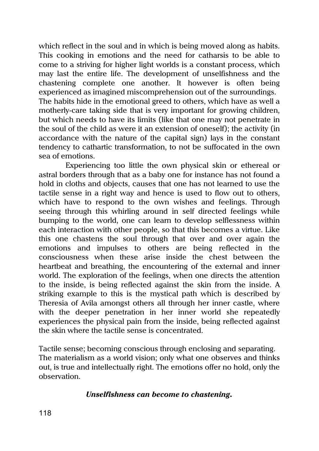which reflect in the soul and in which is being moved along as habits. This cooking in emotions and the need for catharsis to be able to come to a striving for higher light worlds is a constant process, which may last the entire life. The development of unselfishness and the chastening complete one another. It however is often being experienced as imagined miscomprehension out of the surroundings. The habits hide in the emotional greed to others, which have as well a motherly-care taking side that is very important for growing children, but which needs to have its limits (like that one may not penetrate in the soul of the child as were it an extension of oneself); the activity (in accordance with the nature of the capital sign) lays in the constant tendency to cathartic transformation, to not be suffocated in the own sea of emotions.

Experiencing too little the own physical skin or ethereal or astral borders through that as a baby one for instance has not found a hold in cloths and objects, causes that one has not learned to use the tactile sense in a right way and hence is used to flow out to others, which have to respond to the own wishes and feelings. Through seeing through this whirling around in self directed feelings while bumping to the world, one can learn to develop selflessness within each interaction with other people, so that this becomes a virtue. Like this one chastens the soul through that over and over again the emotions and impulses to others are being reflected in the consciousness when these arise inside the chest between the heartbeat and breathing, the encountering of the external and inner world. The exploration of the feelings, when one directs the attention to the inside, is being reflected against the skin from the inside. A striking example to this is the mystical path which is described by Theresia of Avila amongst others all through her inner castle, where with the deeper penetration in her inner world she repeatedly experiences the physical pain from the inside, being reflected against the skin where the tactile sense is concentrated.

Tactile sense; becoming conscious through enclosing and separating. The materialism as a world vision; only what one observes and thinks out, is true and intellectually right. The emotions offer no hold, only the observation.

### *Unselfishness can become to chastening.*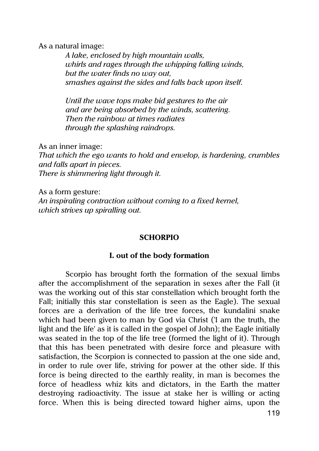As a natural image:

*A lake, enclosed by high mountain walls, whirls and rages through the whipping falling winds, but the water finds no way out, smashes against the sides and falls back upon itself.*

*Until the wave tops make bid gestures to the air and are being absorbed by the winds, scattering. Then the rainbow at times radiates through the splashing raindrops.*

As an inner image:

*That which the ego wants to hold and envelop, is hardening, crumbles and falls apart in pieces. There is shimmering light through it.*

As a form gesture: *An inspiraling contraction without coming to a fixed kernel, which strives up spiralling out.*

#### **SCHORPIO**

#### **I. out of the body formation**

Scorpio has brought forth the formation of the sexual limbs after the accomplishment of the separation in sexes after the Fall (it was the working out of this star constellation which brought forth the Fall; initially this star constellation is seen as the Eagle). The sexual forces are a derivation of the life tree forces, the kundalini snake which had been given to man by God via Christ ('I am the truth, the light and the life' as it is called in the gospel of John); the Eagle initially was seated in the top of the life tree (formed the light of it). Through that this has been penetrated with desire force and pleasure with satisfaction, the Scorpion is connected to passion at the one side and, in order to rule over life, striving for power at the other side. If this force is being directed to the earthly reality, in man is becomes the force of headless whiz kits and dictators, in the Earth the matter destroying radioactivity. The issue at stake her is willing or acting force. When this is being directed toward higher aims, upon the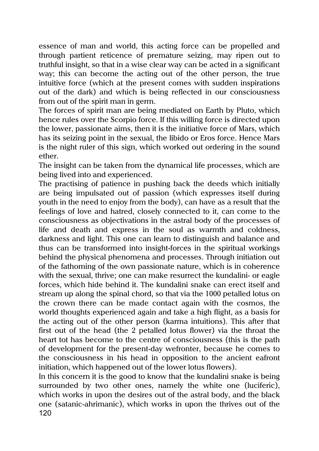essence of man and world, this acting force can be propelled and through partient reticence of premature seizing, may ripen out to truthful insight, so that in a wise clear way can be acted in a significant way; this can become the acting out of the other person, the true intuitive force (which at the present comes with sudden inspirations out of the dark) and which is being reflected in our consciousness from out of the spirit man in germ.

The forces of spirit man are being mediated on Earth by Pluto, which hence rules over the Scorpio force. If this willing force is directed upon the lower, passionate aims, then it is the initiative force of Mars, which has its seizing point in the sexual, the libido or Eros force. Hence Mars is the night ruler of this sign, which worked out ordering in the sound ether.

The insight can be taken from the dynamical life processes, which are being lived into and experienced.

The practising of patience in pushing back the deeds which initially are being impulsated out of passion (which expresses itself during youth in the need to enjoy from the body), can have as a result that the feelings of love and hatred, closely connected to it, can come to the consciousness as objectivations in the astral body of the processes of life and death and express in the soul as warmth and coldness, darkness and light. This one can learn to distinguish and balance and thus can be transformed into insight-forces in the spiritual workings behind the physical phenomena and processes. Through initiation out of the fathoming of the own passionate nature, which is in coherence with the sexual, thrive; one can make resurrect the kundalini- or eagle forces, which hide behind it. The kundalini snake can erect itself and stream up along the spinal chord, so that via the 1000 petalled lotus on the crown there can be made contact again with the cosmos, the world thoughts experienced again and take a high flight, as a basis for the acting out of the other person (karma intuitions). This after that first out of the head (the 2 petalled lotus flower) via the throat the heart tot has become to the centre of consciousness (this is the path of development for the present-day wefronter, because he comes to the consciousness in his head in opposition to the ancient eafront initiation, which happened out of the lower lotus flowers).

120 In this concern it is the good to know that the kundalini snake is being surrounded by two other ones, namely the white one (luciferic), which works in upon the desires out of the astral body, and the black one (satanic-ahrimanic), which works in upon the thrives out of the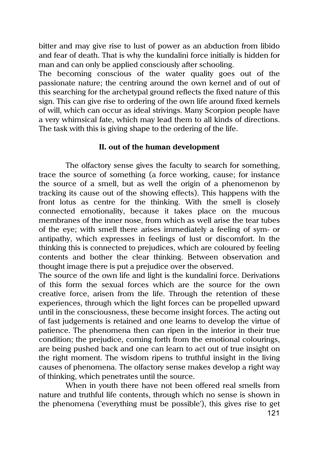bitter and may give rise to lust of power as an abduction from libido and fear of death. That is why the kundalini force initially is hidden for man and can only be applied consciously after schooling.

The becoming conscious of the water quality goes out of the passionate nature; the centring around the own kernel and of out of this searching for the archetypal ground reflects the fixed nature of this sign. This can give rise to ordering of the own life around fixed kernels of will, which can occur as ideal strivings. Many Scorpion people have a very whimsical fate, which may lead them to all kinds of directions. The task with this is giving shape to the ordering of the life.

### **II. out of the human development**

The olfactory sense gives the faculty to search for something, trace the source of something (a force working, cause; for instance the source of a smell, but as well the origin of a phenomenon by tracking its cause out of the showing effects). This happens with the front lotus as centre for the thinking. With the smell is closely connected emotionality, because it takes place on the mucous membranes of the inner nose, from which as well arise the tear tubes of the eye; with smell there arises immediately a feeling of sym- or antipathy, which expresses in feelings of lust or discomfort. In the thinking this is connected to prejudices, which are coloured by feeling contents and bother the clear thinking. Between observation and thought image there is put a prejudice over the observed.

The source of the own life and light is the kundalini force. Derivations of this form the sexual forces which are the source for the own creative force, arisen from the life. Through the retention of these experiences, through which the light forces can be propelled upward until in the consciousness, these become insight forces. The acting out of fast judgements is retained and one learns to develop the virtue of patience. The phenomena then can ripen in the interior in their true condition; the prejudice, coming forth from the emotional colourings, are being pushed back and one can learn to act out of true insight on the right moment. The wisdom ripens to truthful insight in the living causes of phenomena. The olfactory sense makes develop a right way of thinking, which penetrates until the source.

When in youth there have not been offered real smells from nature and truthful life contents, through which no sense is shown in the phenomena ('everything must be possible'), this gives rise to get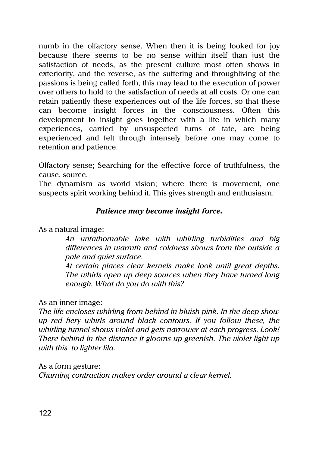numb in the olfactory sense. When then it is being looked for joy because there seems to be no sense within itself than just the satisfaction of needs, as the present culture most often shows in exteriority, and the reverse, as the suffering and throughliving of the passions is being called forth, this may lead to the execution of power over others to hold to the satisfaction of needs at all costs. Or one can retain patiently these experiences out of the life forces, so that these can become insight forces in the consciousness. Often this development to insight goes together with a life in which many experiences, carried by unsuspected turns of fate, are being experienced and felt through intensely before one may come to retention and patience.

Olfactory sense; Searching for the effective force of truthfulness, the cause, source.

The dynamism as world vision; where there is movement, one suspects spirit working behind it. This gives strength and enthusiasm.

# *Patience may become insight force.*

As a natural image:

*An unfathomable lake with whirling turbidities and big differences in warmth and coldness shows from the outside a pale and quiet surface.*

*At certain places clear kernels make look until great depths. The whirls open up deep sources when they have turned long enough. What do you do with this?*

# As an inner image:

*The life encloses whirling from behind in bluish pink. In the deep show up red fiery whirls around black contours. If you follow these, the whirling tunnel shows violet and gets narrower at each progress. Look! There behind in the distance it glooms up greenish. The violet light up with this to lighter lila.*

As a form gesture:

*Churning contraction makes order around a clear kernel.*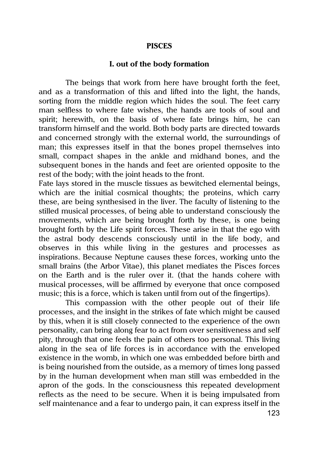#### **PISCES**

#### **I. out of the body formation**

The beings that work from here have brought forth the feet, and as a transformation of this and lifted into the light, the hands, sorting from the middle region which hides the soul. The feet carry man selfless to where fate wishes, the hands are tools of soul and spirit; herewith, on the basis of where fate brings him, he can transform himself and the world. Both body parts are directed towards and concerned strongly with the external world, the surroundings of man; this expresses itself in that the bones propel themselves into small, compact shapes in the ankle and midhand bones, and the subsequent bones in the hands and feet are oriented opposite to the rest of the body; with the joint heads to the front.

Fate lays stored in the muscle tissues as bewitched elemental beings, which are the initial cosmical thoughts; the proteins, which carry these, are being synthesised in the liver. The faculty of listening to the stilled musical processes, of being able to understand consciously the movements, which are being brought forth by these, is one being brought forth by the Life spirit forces. These arise in that the ego with the astral body descends consciously until in the life body, and observes in this while living in the gestures and processes as inspirations. Because Neptune causes these forces, working unto the small brains (the Arbor Vitae), this planet mediates the Pisces forces on the Earth and is the ruler over it. (that the hands cohere with musical processes, will be affirmed by everyone that once composed music; this is a force, which is taken until from out of the fingertips).

This compassion with the other people out of their life processes, and the insight in the strikes of fate which might be caused by this, when it is still closely connected to the experience of the own personality, can bring along fear to act from over sensitiveness and self pity, through that one feels the pain of others too personal. This living along in the sea of life forces is in accordance with the enveloped existence in the womb, in which one was embedded before birth and is being nourished from the outside, as a memory of times long passed by in the human development when man still was embedded in the apron of the gods. In the consciousness this repeated development reflects as the need to be secure. When it is being impulsated from self maintenance and a fear to undergo pain, it can express itself in the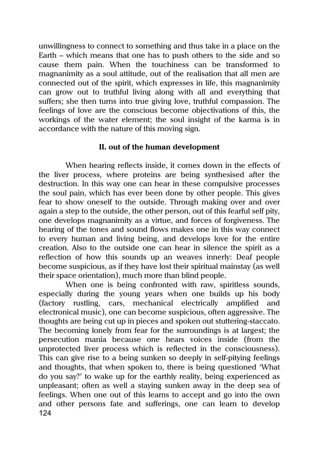unwillingness to connect to something and thus take in a place on the Earth – which means that one has to push others to the side and so cause them pain. When the touchiness can be transformed to magnanimity as a soul attitude, out of the realisation that all men are connected out of the spirit, which expresses in life, this magnanimity can grow out to truthful living along with all and everything that suffers; she then turns into true giving love, truthful compassion. The feelings of love are the conscious become objectivations of this, the workings of the water element; the soul insight of the karma is in accordance with the nature of this moving sign.

# **II. out of the human development**

When hearing reflects inside, it comes down in the effects of the liver process, where proteins are being synthesised after the destruction. In this way one can hear in these compulsive processes the soul pain, which has ever been done by other people. This gives fear to show oneself to the outside. Through making over and over again a step to the outside, the other person, out of this fearful self pity, one develops magnanimity as a virtue, and forces of forgiveness. The hearing of the tones and sound flows makes one in this way connect to every human and living being, and develops love for the entire creation. Also to the outside one can hear in silence the spirit as a reflection of how this sounds up an weaves innerly: Deaf people become suspicious, as if they have lost their spiritual mainstay (as well their space orientation), much more than blind people.

124 When one is being confronted with raw, spiritless sounds, especially during the young years when one builds up his body (factory rustling, cars, mechanical electrically amplified and electronical music), one can become suspicious, often aggressive. The thoughts are being cut up in pieces and spoken out stuttering-staccato. The becoming lonely from fear for the surroundings is at largest; the persecution mania because one hears voices inside (from the unprotected liver process which is reflected in the consciousness). This can give rise to a being sunken so deeply in self-pitying feelings and thoughts, that when spoken to, there is being questioned 'What do you say?' to wake up for the earthly reality, being experienced as unpleasant; often as well a staying sunken away in the deep sea of feelings. When one out of this learns to accept and go into the own and other persons fate and sufferings, one can learn to develop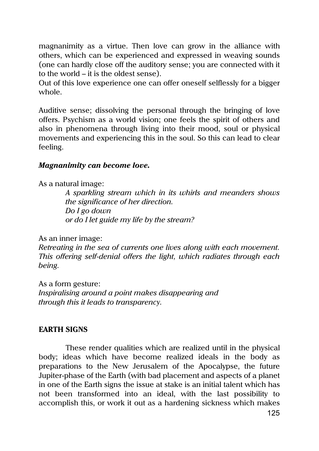magnanimity as a virtue. Then love can grow in the alliance with others, which can be experienced and expressed in weaving sounds (one can hardly close off the auditory sense; you are connected with it to the world – it is the oldest sense).

Out of this love experience one can offer oneself selflessly for a bigger whole.

Auditive sense; dissolving the personal through the bringing of love offers. Psychism as a world vision; one feels the spirit of others and also in phenomena through living into their mood, soul or physical movements and experiencing this in the soul. So this can lead to clear feeling.

### *Magnanimity can become love.*

As a natural image:

*A sparkling stream which in its whirls and meanders shows the significance of her direction. Do I go down or do I let guide my life by the stream?*

As an inner image:

*Retreating in the sea of currents one lives along with each movement. This offering self-denial offers the light, which radiates through each being.*

As a form gesture: *Inspiralising around a point makes disappearing and through this it leads to transparency.*

### **EARTH SIGNS**

These render qualities which are realized until in the physical body; ideas which have become realized ideals in the body as preparations to the New Jerusalem of the Apocalypse, the future Jupiter-phase of the Earth (with bad placement and aspects of a planet in one of the Earth signs the issue at stake is an initial talent which has not been transformed into an ideal, with the last possibility to accomplish this, or work it out as a hardening sickness which makes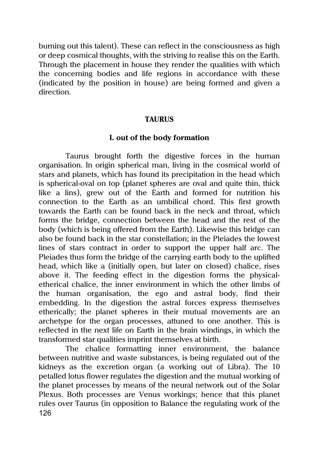burning out this talent). These can reflect in the consciousness as high or deep cosmical thoughts, with the striving to realise this on the Earth. Through the placement in house they render the qualities with which the concerning bodies and life regions in accordance with these (indicated by the position in house) are being formed and given a direction.

#### **TAURUS**

### **I. out of the body formation**

Taurus brought forth the digestive forces in the human organisation. In origin spherical man, living in the cosmical world of stars and planets, which has found its precipitation in the head which is spherical-oval on top (planet spheres are oval and quite thin, thick like a lins), grew out of the Earth and formed for nutrition his connection to the Earth as an umbilical chord. This first growth towards the Earth can be found back in the neck and throat, which forms the bridge, connection between the head and the rest of the body (which is being offered from the Earth). Likewise this bridge can also be found back in the star constellation; in the Pleiades the lowest lines of stars contract in order to support the upper half arc. The Pleiades thus form the bridge of the carrying earth body to the uplifted head, which like a (initially open, but later on closed) chalice, rises above it. The feeding effect in the digestion forms the physicaletherical chalice, the inner environment in which the other limbs of the human organisation, the ego and astral body, find their embedding. In the digestion the astral forces express themselves etherically; the planet spheres in their mutual movements are an archetype for the organ processes, attuned to one another. This is reflected in the next life on Earth in the brain windings, in which the transformed star qualities imprint themselves at birth.

126 The chalice formatting inner environment, the balance between nutritive and waste substances, is being regulated out of the kidneys as the excretion organ (a working out of Libra). The 10 petalled lotus flower regulates the digestion and the mutual working of the planet processes by means of the neural network out of the Solar Plexus. Both processes are Venus workings; hence that this planet rules over Taurus (in opposition to Balance the regulating work of the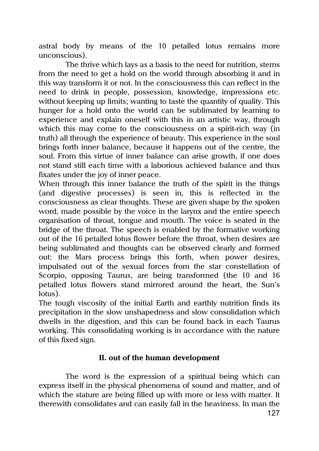astral body by means of the 10 petalled lotus remains more unconscious).

The thrive which lays as a basis to the need for nutrition, stems from the need to get a hold on the world through absorbing it and in this way transform it or not. In the consciousness this can reflect in the need to drink in people, possession, knowledge, impressions etc. without keeping up limits; wanting to taste the quantity of quality. This hunger for a hold onto the world can be sublimated by learning to experience and explain oneself with this in an artistic way, through which this may come to the consciousness on a spirit-rich way (in truth) all through the experience of beauty. This experience in the soul brings forth inner balance, because it happens out of the centre, the soul. From this virtue of inner balance can arise growth, if one does not stand still each time with a laborious achieved balance and thus fixates under the joy of inner peace.

When through this inner balance the truth of the spirit in the things (and digestive processes) is seen in, this is reflected in the consciousness as clear thoughts. These are given shape by the spoken word, made possible by the voice in the larynx and the entire speech organisation of throat, tongue and mouth. The voice is seated in the bridge of the throat. The speech is enabled by the formative working out of the 16 petalled lotus flower before the throat, when desires are being sublimated and thoughts can be observed clearly and formed out: the Mars process brings this forth, when power desires, impulsated out of the sexual forces from the star constellation of Scorpio, opposing Taurus, are being transformed (the 10 and 16 petalled lotus flowers stand mirrored around the heart, the Sun's lotus).

The tough viscosity of the initial Earth and earthly nutrition finds its precipitation in the slow unshapedness and slow consolidation which dwells in the digestion, and this can be found back in each Taurus working. This consolidating working is in accordance with the nature of this fixed sign.

# **II. out of the human development**

The word is the expression of a spiritual being which can express itself in the physical phenomena of sound and matter, and of which the stature are being filled up with more or less with matter. It therewith consolidates and can easily fall in the heaviness. In man the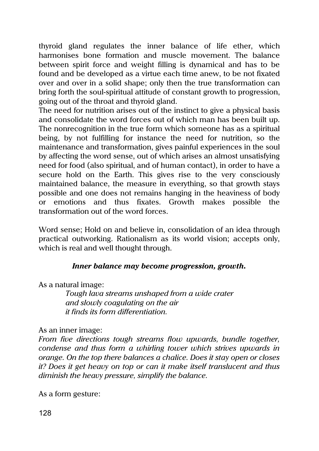thyroid gland regulates the inner balance of life ether, which harmonises bone formation and muscle movement. The balance between spirit force and weight filling is dynamical and has to be found and be developed as a virtue each time anew, to be not fixated over and over in a solid shape; only then the true transformation can bring forth the soul-spiritual attitude of constant growth to progression, going out of the throat and thyroid gland.

The need for nutrition arises out of the instinct to give a physical basis and consolidate the word forces out of which man has been built up. The nonrecognition in the true form which someone has as a spiritual being, by not fulfilling for instance the need for nutrition, so the maintenance and transformation, gives painful experiences in the soul by affecting the word sense, out of which arises an almost unsatisfying need for food (also spiritual, and of human contact), in order to have a secure hold on the Earth. This gives rise to the very consciously maintained balance, the measure in everything, so that growth stays possible and one does not remains hanging in the heaviness of body or emotions and thus fixates. Growth makes possible the transformation out of the word forces.

Word sense; Hold on and believe in, consolidation of an idea through practical outworking. Rationalism as its world vision; accepts only, which is real and well thought through.

# *Inner balance may become progression, growth.*

As a natural image:

*Tough lava streams unshaped from a wide crater and slowly coagulating on the air it finds its form differentiation.*

# As an inner image:

*From five directions tough streams flow upwards, bundle together, condense and thus form a whirling tower which strives upwards in orange. On the top there balances a chalice. Does it stay open or closes it? Does it get heavy on top or can it make itself translucent and thus diminish the heavy pressure, simplify the balance.*

As a form gesture: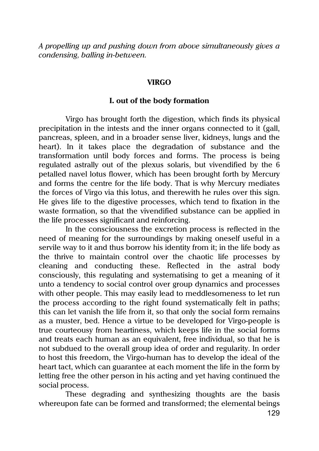*A propelling up and pushing down from above simultaneously gives a condensing, balling in-between.*

#### **VIRGO**

### **I. out of the body formation**

Virgo has brought forth the digestion, which finds its physical precipitation in the intests and the inner organs connected to it (gall, pancreas, spleen, and in a broader sense liver, kidneys, lungs and the heart). In it takes place the degradation of substance and the transformation until body forces and forms. The process is being regulated astrally out of the plexus solaris, but vivendified by the 6 petalled navel lotus flower, which has been brought forth by Mercury and forms the centre for the life body. That is why Mercury mediates the forces of Virgo via this lotus, and therewith he rules over this sign. He gives life to the digestive processes, which tend to fixation in the waste formation, so that the vivendified substance can be applied in the life processes significant and reinforcing.

In the consciousness the excretion process is reflected in the need of meaning for the surroundings by making oneself useful in a servile way to it and thus borrow his identity from it; in the life body as the thrive to maintain control over the chaotic life processes by cleaning and conducting these. Reflected in the astral body consciously, this regulating and systematising to get a meaning of it unto a tendency to social control over group dynamics and processes with other people. This may easily lead to meddlesomeness to let run the process according to the right found systematically felt in paths; this can let vanish the life from it, so that only the social form remains as a muster, bed. Hence a virtue to be developed for Virgo-people is true courteousy from heartiness, which keeps life in the social forms and treats each human as an equivalent, free individual, so that he is not subdued to the overall group idea of order and regularity. In order to host this freedom, the Virgo-human has to develop the ideal of the heart tact, which can guarantee at each moment the life in the form by letting free the other person in his acting and yet having continued the social process.

These degrading and synthesizing thoughts are the basis whereupon fate can be formed and transformed; the elemental beings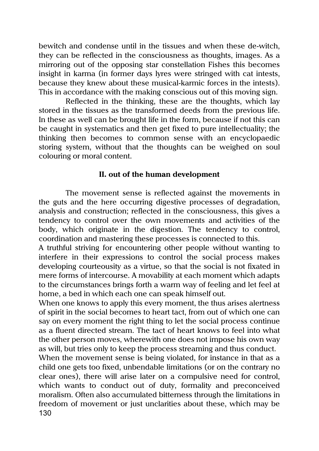bewitch and condense until in the tissues and when these de-witch, they can be reflected in the consciousness as thoughts, images. As a mirroring out of the opposing star constellation Fishes this becomes insight in karma (in former days lyres were stringed with cat intests, because they knew about these musical-karmic forces in the intests). This in accordance with the making conscious out of this moving sign.

Reflected in the thinking, these are the thoughts, which lay stored in the tissues as the transformed deeds from the previous life. In these as well can be brought life in the form, because if not this can be caught in systematics and then get fixed to pure intellectuality; the thinking then becomes to common sense with an encyclopaedic storing system, without that the thoughts can be weighed on soul colouring or moral content.

#### **II. out of the human development**

The movement sense is reflected against the movements in the guts and the here occurring digestive processes of degradation, analysis and construction; reflected in the consciousness, this gives a tendency to control over the own movements and activities of the body, which originate in the digestion. The tendency to control, coordination and mastering these processes is connected to this.

A truthful striving for encountering other people without wanting to interfere in their expressions to control the social process makes developing courteousity as a virtue, so that the social is not fixated in mere forms of intercourse. A movability at each moment which adapts to the circumstances brings forth a warm way of feeling and let feel at home, a bed in which each one can speak himself out.

When one knows to apply this every moment, the thus arises alertness of spirit in the social becomes to heart tact, from out of which one can say on every moment the right thing to let the social process continue as a fluent directed stream. The tact of heart knows to feel into what the other person moves, wherewith one does not impose his own way as will, but tries only to keep the process streaming and thus conduct.

130 When the movement sense is being violated, for instance in that as a child one gets too fixed, unbendable limitations (or on the contrary no clear ones), there will arise later on a compulsive need for control, which wants to conduct out of duty, formality and preconceived moralism. Often also accumulated bitterness through the limitations in freedom of movement or just unclarities about these, which may be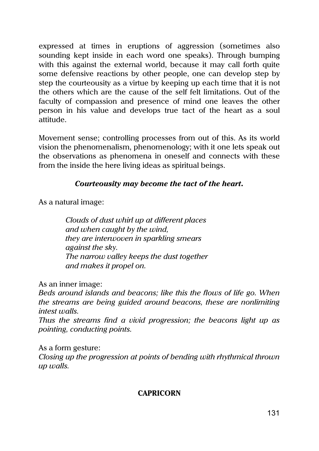expressed at times in eruptions of aggression (sometimes also sounding kept inside in each word one speaks). Through bumping with this against the external world, because it may call forth quite some defensive reactions by other people, one can develop step by step the courteousity as a virtue by keeping up each time that it is not the others which are the cause of the self felt limitations. Out of the faculty of compassion and presence of mind one leaves the other person in his value and develops true tact of the heart as a soul attitude.

Movement sense; controlling processes from out of this. As its world vision the phenomenalism, phenomenology; with it one lets speak out the observations as phenomena in oneself and connects with these from the inside the here living ideas as spiritual beings.

# *Courteousity may become the tact of the heart.*

As a natural image:

*Clouds of dust whirl up at different places and when caught by the wind, they are interwoven in sparkling smears against the sky. The narrow valley keeps the dust together and makes it propel on.*

As an inner image:

*Beds around islands and beacons; like this the flows of life go. When the streams are being guided around beacons, these are nonlimiting intest walls.*

*Thus the streams find a vivid progression; the beacons light up as pointing, conducting points.*

As a form gesture:

*Closing up the progression at points of bending with rhythmical thrown up walls.*

# **CAPRICORN**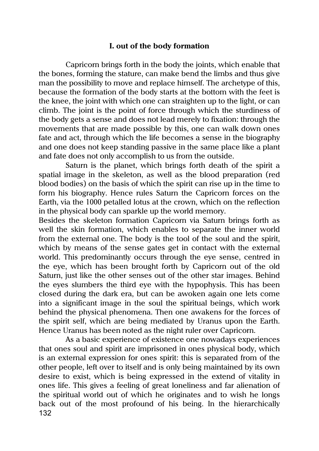### **I. out of the body formation**

Capricorn brings forth in the body the joints, which enable that the bones, forming the stature, can make bend the limbs and thus give man the possibility to move and replace himself. The archetype of this, because the formation of the body starts at the bottom with the feet is the knee, the joint with which one can straighten up to the light, or can climb. The joint is the point of force through which the sturdiness of the body gets a sense and does not lead merely to fixation: through the movements that are made possible by this, one can walk down ones fate and act, through which the life becomes a sense in the biography and one does not keep standing passive in the same place like a plant and fate does not only accomplish to us from the outside.

Saturn is the planet, which brings forth death of the spirit a spatial image in the skeleton, as well as the blood preparation (red blood bodies) on the basis of which the spirit can rise up in the time to form his biography. Hence rules Saturn the Capricorn forces on the Earth, via the 1000 petalled lotus at the crown, which on the reflection in the physical body can sparkle up the world memory.

Besides the skeleton formation Capricorn via Saturn brings forth as well the skin formation, which enables to separate the inner world from the external one. The body is the tool of the soul and the spirit, which by means of the sense gates get in contact with the external world. This predominantly occurs through the eye sense, centred in the eye, which has been brought forth by Capricorn out of the old Saturn, just like the other senses out of the other star images. Behind the eyes slumbers the third eye with the hypophysis. This has been closed during the dark era, but can be awoken again one lets come into a significant image in the soul the spiritual beings, which work behind the physical phenomena. Then one awakens for the forces of the spirit self, which are being mediated by Uranus upon the Earth. Hence Uranus has been noted as the night ruler over Capricorn.

132 As a basic experience of existence one nowadays experiences that ones soul and spirit are imprisoned in ones physical body, which is an external expression for ones spirit: this is separated from of the other people, left over to itself and is only being maintained by its own desire to exist, which is being expressed in the extend of vitality in ones life. This gives a feeling of great loneliness and far alienation of the spiritual world out of which he originates and to wish he longs back out of the most profound of his being. In the hierarchically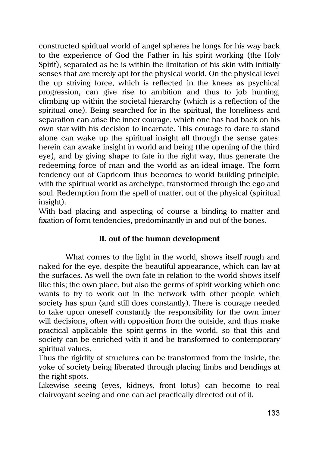constructed spiritual world of angel spheres he longs for his way back to the experience of God the Father in his spirit working (the Holy Spirit), separated as he is within the limitation of his skin with initially senses that are merely apt for the physical world. On the physical level the up striving force, which is reflected in the knees as psychical progression, can give rise to ambition and thus to job hunting, climbing up within the societal hierarchy (which is a reflection of the spiritual one). Being searched for in the spiritual, the loneliness and separation can arise the inner courage, which one has had back on his own star with his decision to incarnate. This courage to dare to stand alone can wake up the spiritual insight all through the sense gates: herein can awake insight in world and being (the opening of the third eye), and by giving shape to fate in the right way, thus generate the redeeming force of man and the world as an ideal image. The form tendency out of Capricorn thus becomes to world building principle, with the spiritual world as archetype, transformed through the ego and soul. Redemption from the spell of matter, out of the physical (spiritual insight).

With bad placing and aspecting of course a binding to matter and fixation of form tendencies, predominantly in and out of the bones.

# **II. out of the human development**

What comes to the light in the world, shows itself rough and naked for the eye, despite the beautiful appearance, which can lay at the surfaces. As well the own fate in relation to the world shows itself like this; the own place, but also the germs of spirit working which one wants to try to work out in the network with other people which society has spun (and still does constantly). There is courage needed to take upon oneself constantly the responsibility for the own inner will decisions, often with opposition from the outside, and thus make practical applicable the spirit-germs in the world, so that this and society can be enriched with it and be transformed to contemporary spiritual values.

Thus the rigidity of structures can be transformed from the inside, the yoke of society being liberated through placing limbs and bendings at the right spots.

Likewise seeing (eyes, kidneys, front lotus) can become to real clairvoyant seeing and one can act practically directed out of it.